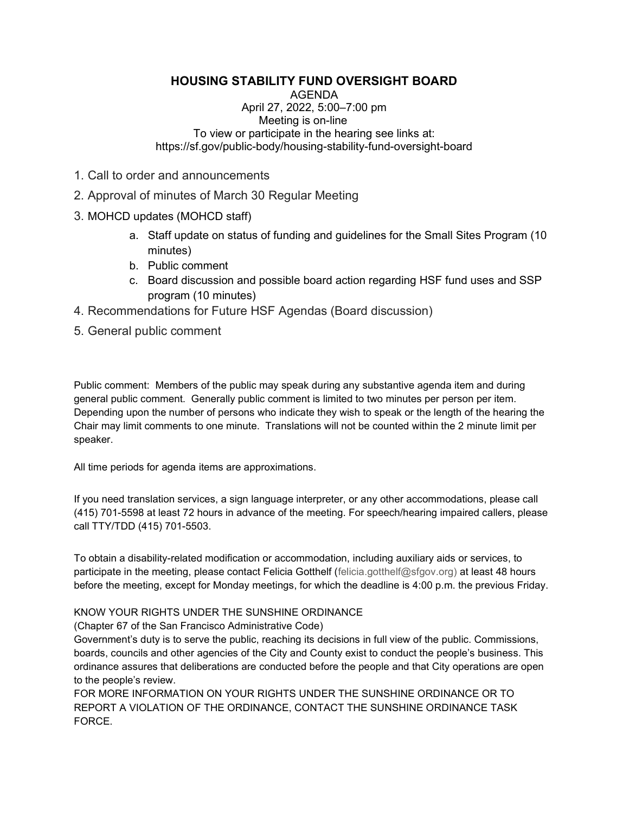## HOUSING STABILITY FUND OVERSIGHT BOARD

AGENDA April 27, 2022, 5:00–7:00 pm Meeting is on-line To view or participate in the hearing see links at: https://sf.gov/public-body/housing-stability-fund-oversight-board

- 1. Call to order and announcements
- 2. Approval of minutes of March 30 Regular Meeting
- 3. MOHCD updates (MOHCD staff)
	- a. Staff update on status of funding and guidelines for the Small Sites Program (10 minutes)
	- b. Public comment
	- c. Board discussion and possible board action regarding HSF fund uses and SSP program (10 minutes)
- 4. Recommendations for Future HSF Agendas (Board discussion)
- 5. General public comment

Public comment: Members of the public may speak during any substantive agenda item and during general public comment. Generally public comment is limited to two minutes per person per item. Depending upon the number of persons who indicate they wish to speak or the length of the hearing the Chair may limit comments to one minute. Translations will not be counted within the 2 minute limit per speaker.

All time periods for agenda items are approximations.

If you need translation services, a sign language interpreter, or any other accommodations, please call (415) 701-5598 at least 72 hours in advance of the meeting. For speech/hearing impaired callers, please call TTY/TDD (415) 701-5503.

To obtain a disability-related modification or accommodation, including auxiliary aids or services, to participate in the meeting, please contact Felicia Gotthelf (felicia.gotthelf@sfgov.org) at least 48 hours before the meeting, except for Monday meetings, for which the deadline is 4:00 p.m. the previous Friday.

## KNOW YOUR RIGHTS UNDER THE SUNSHINE ORDINANCE

(Chapter 67 of the San Francisco Administrative Code)

Government's duty is to serve the public, reaching its decisions in full view of the public. Commissions, boards, councils and other agencies of the City and County exist to conduct the people's business. This ordinance assures that deliberations are conducted before the people and that City operations are open to the people's review.

FOR MORE INFORMATION ON YOUR RIGHTS UNDER THE SUNSHINE ORDINANCE OR TO REPORT A VIOLATION OF THE ORDINANCE, CONTACT THE SUNSHINE ORDINANCE TASK FORCE.